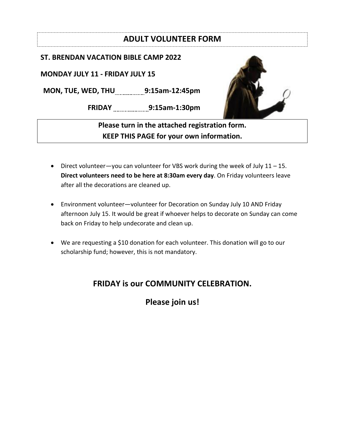### **ADULT VOLUNTEER FORM**

#### **ST. BRENDAN VACATION BIBLE CAMP 2022**

**MONDAY JULY 11 - FRIDAY JULY 15**

**MON, TUE, WED, THU 9:15am-12:45pm**

**FRIDAY 9:15am-1:30pm**



**Please turn in the attached registration form. KEEP THIS PAGE for your own information.** 

- Direct volunteer—you can volunteer for VBS work during the week of July 11 15. **Direct volunteers need to be here at 8:30am every day**. On Friday volunteers leave after all the decorations are cleaned up.
- Environment volunteer—volunteer for Decoration on Sunday July 10 AND Friday afternoon July 15. It would be great if whoever helps to decorate on Sunday can come back on Friday to help undecorate and clean up.
- We are requesting a \$10 donation for each volunteer. This donation will go to our scholarship fund; however, this is not mandatory.

## **FRIDAY is our COMMUNITY CELEBRATION.**

**Please join us!**